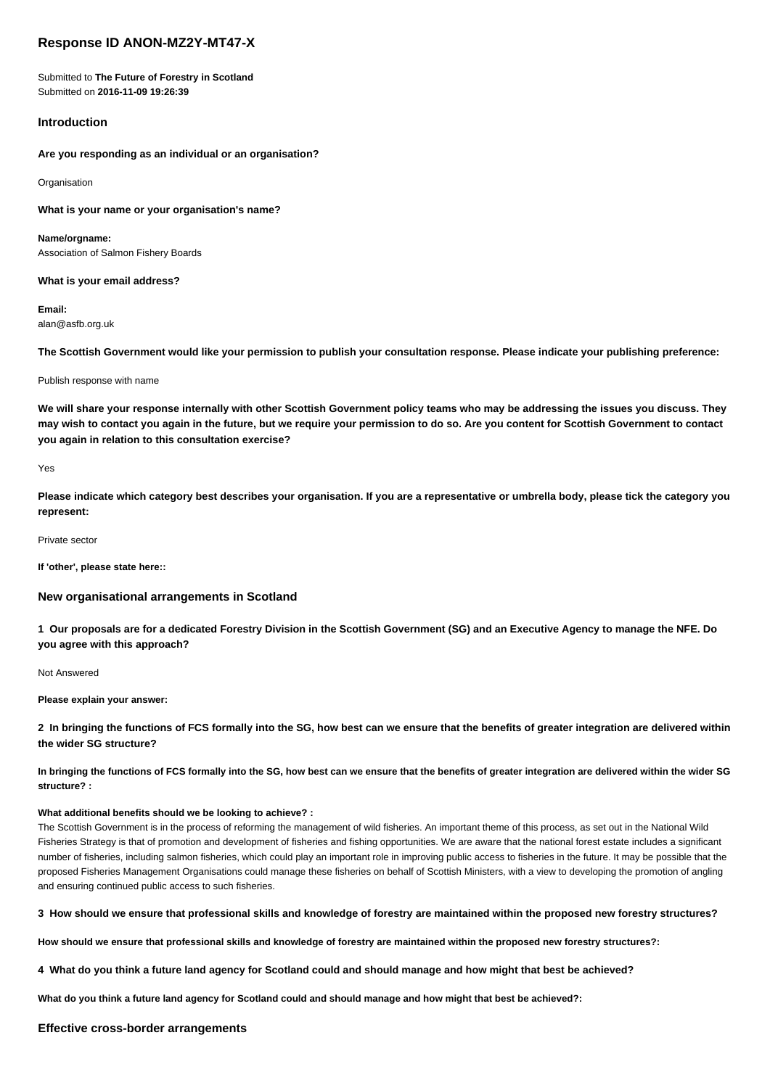# **Response ID ANON-MZ2Y-MT47-X**

Submitted to **The Future of Forestry in Scotland** Submitted on **2016-11-09 19:26:39**

# **Introduction**

**Are you responding as an individual or an organisation?**

Organisation

**What is your name or your organisation's name?**

**Name/orgname:** Association of Salmon Fishery Boards

**What is your email address?**

**Email:** alan@asfb.org.uk

**The Scottish Government would like your permission to publish your consultation response. Please indicate your publishing preference:**

#### Publish response with name

**We will share your response internally with other Scottish Government policy teams who may be addressing the issues you discuss. They may wish to contact you again in the future, but we require your permission to do so. Are you content for Scottish Government to contact you again in relation to this consultation exercise?**

#### Yes

**Please indicate which category best describes your organisation. If you are a representative or umbrella body, please tick the category you represent:**

Private sector

**If 'other', please state here::**

## **New organisational arrangements in Scotland**

**1 Our proposals are for a dedicated Forestry Division in the Scottish Government (SG) and an Executive Agency to manage the NFE. Do you agree with this approach?**

Not Answered

**Please explain your answer:**

**2 In bringing the functions of FCS formally into the SG, how best can we ensure that the benefits of greater integration are delivered within the wider SG structure?**

**In bringing the functions of FCS formally into the SG, how best can we ensure that the benefits of greater integration are delivered within the wider SG structure? :**

# **What additional benefits should we be looking to achieve? :**

The Scottish Government is in the process of reforming the management of wild fisheries. An important theme of this process, as set out in the National Wild Fisheries Strategy is that of promotion and development of fisheries and fishing opportunities. We are aware that the national forest estate includes a significant number of fisheries, including salmon fisheries, which could play an important role in improving public access to fisheries in the future. It may be possible that the proposed Fisheries Management Organisations could manage these fisheries on behalf of Scottish Ministers, with a view to developing the promotion of angling and ensuring continued public access to such fisheries.

**3 How should we ensure that professional skills and knowledge of forestry are maintained within the proposed new forestry structures?**

**How should we ensure that professional skills and knowledge of forestry are maintained within the proposed new forestry structures?:**

**4 What do you think a future land agency for Scotland could and should manage and how might that best be achieved?**

**What do you think a future land agency for Scotland could and should manage and how might that best be achieved?:**

## **Effective cross-border arrangements**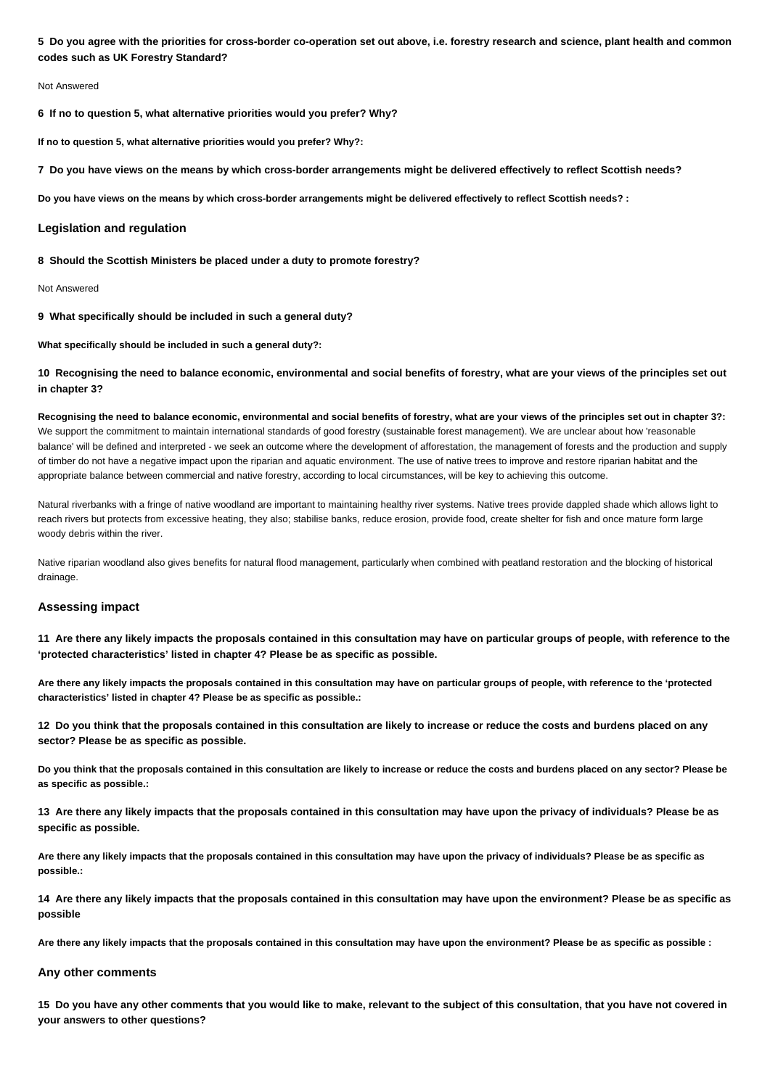**5 Do you agree with the priorities for cross-border co-operation set out above, i.e. forestry research and science, plant health and common codes such as UK Forestry Standard?**

#### Not Answered

**6 If no to question 5, what alternative priorities would you prefer? Why?**

**If no to question 5, what alternative priorities would you prefer? Why?:**

**7 Do you have views on the means by which cross-border arrangements might be delivered effectively to reflect Scottish needs?**

**Do you have views on the means by which cross-border arrangements might be delivered effectively to reflect Scottish needs? :**

### **Legislation and regulation**

**8 Should the Scottish Ministers be placed under a duty to promote forestry?**

#### Not Answered

**9 What specifically should be included in such a general duty?**

**What specifically should be included in such a general duty?:**

**10 Recognising the need to balance economic, environmental and social benefits of forestry, what are your views of the principles set out in chapter 3?**

**Recognising the need to balance economic, environmental and social benefits of forestry, what are your views of the principles set out in chapter 3?:** We support the commitment to maintain international standards of good forestry (sustainable forest management). We are unclear about how 'reasonable balance' will be defined and interpreted - we seek an outcome where the development of afforestation, the management of forests and the production and supply of timber do not have a negative impact upon the riparian and aquatic environment. The use of native trees to improve and restore riparian habitat and the appropriate balance between commercial and native forestry, according to local circumstances, will be key to achieving this outcome.

Natural riverbanks with a fringe of native woodland are important to maintaining healthy river systems. Native trees provide dappled shade which allows light to reach rivers but protects from excessive heating, they also; stabilise banks, reduce erosion, provide food, create shelter for fish and once mature form large woody debris within the river.

Native riparian woodland also gives benefits for natural flood management, particularly when combined with peatland restoration and the blocking of historical drainage.

## **Assessing impact**

**11 Are there any likely impacts the proposals contained in this consultation may have on particular groups of people, with reference to the 'protected characteristics' listed in chapter 4? Please be as specific as possible.**

**Are there any likely impacts the proposals contained in this consultation may have on particular groups of people, with reference to the 'protected characteristics' listed in chapter 4? Please be as specific as possible.:**

**12 Do you think that the proposals contained in this consultation are likely to increase or reduce the costs and burdens placed on any sector? Please be as specific as possible.**

**Do you think that the proposals contained in this consultation are likely to increase or reduce the costs and burdens placed on any sector? Please be as specific as possible.:**

**13 Are there any likely impacts that the proposals contained in this consultation may have upon the privacy of individuals? Please be as specific as possible.**

**Are there any likely impacts that the proposals contained in this consultation may have upon the privacy of individuals? Please be as specific as possible.:**

**14 Are there any likely impacts that the proposals contained in this consultation may have upon the environment? Please be as specific as possible**

**Are there any likely impacts that the proposals contained in this consultation may have upon the environment? Please be as specific as possible :**

# **Any other comments**

**15 Do you have any other comments that you would like to make, relevant to the subject of this consultation, that you have not covered in your answers to other questions?**